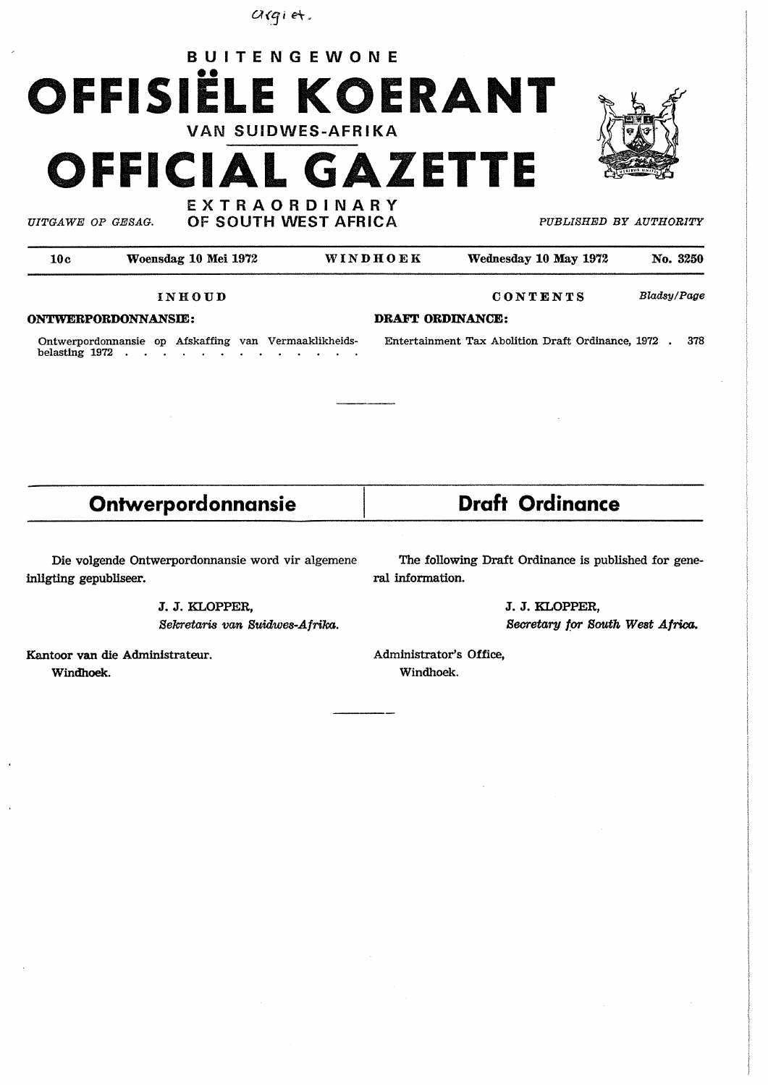$arg$  $i$  et.





*UITGA WE OP GE SAG.* 

**EXTRAORDINARY** OF SOUTH WEST AFRICA *PUBLISHED BY AUTHORITY* 

| 10с                        | Woensdag 10 Mei 1972 | WINDHOEK         | Wednesday 10 May 1972 | No. 3250    |
|----------------------------|----------------------|------------------|-----------------------|-------------|
|                            | INHOUD               |                  | CONTENTS              | Bladsy/Page |
| <b>ONTWERPORDONNANSIE:</b> |                      | DRAFT ORDINANCE: |                       |             |

Ontwerpordonnansie op Afskaffing van Vermaaklikheids- Entertainment Tax Abolition Draft Ordinance, 1972 . 378 belasting 1972 .  $\sim$  $\sim$   $\sim$  $\sim$ 

## **Ontwerpordonnansie by Braft Ordinance**

inligting gepubliseer. The contraction of the contraction of the contraction of the contraction.

Die volgende Ontwerpordonnansie word vir algemene The following Draft Ordinance is published for gene-

J. J. KLOPFER, J. J. KLOPFER,

Sekretaris van Suidwes-Afrika. Secretary for South West Africa.

Kantoor van die Administrateur. Administrator's Office, **Windhoek.** Windhoek.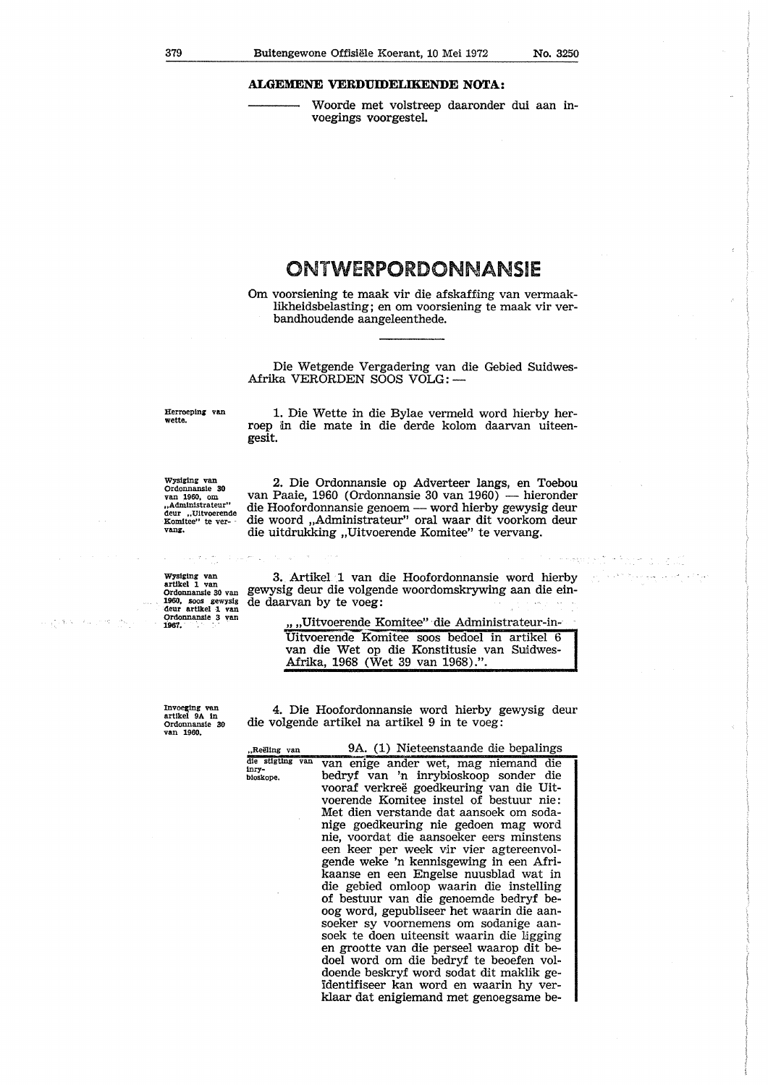respondent and a control of the

## **ALGEMENE VERDUIDELIKENDE NOTA:**

Woorde met volstreep daaronder dui aan invoegings voorgestel.

## ONTWERPORDONNANSIE

Om voorsiening te maak vir die afskaffing van vermaaklikheidsbelasting; en om voorsiening te maak vir verbandhoudende aangeleenthede.

Die Wetgende Vergadering van die Gebied Suidwes-Afrika VERORDEN SOOS VOLG: --

Herroeplng van **wette.** 

1. Die Wette in die Bylae vermeld word hierby herroep dn die mate in die derde kolom daarvan uiteengesit.

Wysiging van<br>
Ordonnansie 30<br>
van 1960, om<br> **,,Administrateur''** deur ,.Ultvoerende Eomitee" te ver- **vang.** 

2. Die Ordonnansie op Adverteer langs, en Toebou van Paaie, 1960 (Ordonnansie 30 van 1960) — hieronder die Hoofordonnansie genoem — word hierby gewysig deur die woord ,,Administrateur" oral waar dit voorkom deur die uitdrukking ,,Uitvoerende Komitee" te vervang.

Wysiging van<br>artikel 1 van artlkel 1 van Ordonnansle 30 van 1960, SOOS gewyslg deur artikel 1 van<br>Ordonnansie 3 van 1967.

 $\frac{\partial}{\partial t} \hat{u}_1$ 

ili a 19

3. Artikel 1 van die Hoofordonnansie word hierby gewysig deur die volgende woordomskrywing aan die einde daarvan by te voeg:

> *,,* ,,Uitvoerende Komitee" die Administrateur-in-Uitvoerende Komitee soos bedoel in artikel 6 van die Wet op die Konstitusie van Suidwes-Afrika, 1968 (Wet 39 van 1968).".

Invoeging van<br>artikel 9A in<br>Ordonnansie 30<br>van 1960.

tnry-

4. Die Hoofordonnansie word hierby gewysig deur die volgende artikel na artikel 9 in te voeg:

,.Reeling van die stigting van b!oskope. 9A. (1) Nieteenstaande die bepalings van enige ander wet, mag niemand die bedryf van 'n inrybioskoop sonder die vooraf verkree goedkeuring van die Uitvoerende Komitee instel of bestuur nie: Met dien verstande dat aansoek om sodanige goedkeuring nie gedoen mag word nie, voordat die aansoeker eers minstens een keer per week *vir* vier agtereenvolgende weke 'n kennisgewing in een Afrikaanse en een Engelse nuusblad wat in die gebied omloop waarin die instelling of bestuur van die genoemde bedryf beoog word, gepubliseer het waarin die aansoeker sy voornemens om sodanige aansoek te doen uiteensit waarin die ligging en grootte van die perseel waarop dit bedoel word om die bedryf te beoefen voldoende beskryf word sodat dit maklik geidentifiseer kan word en waarin hy verklaar dat enigiemand met genoegsame be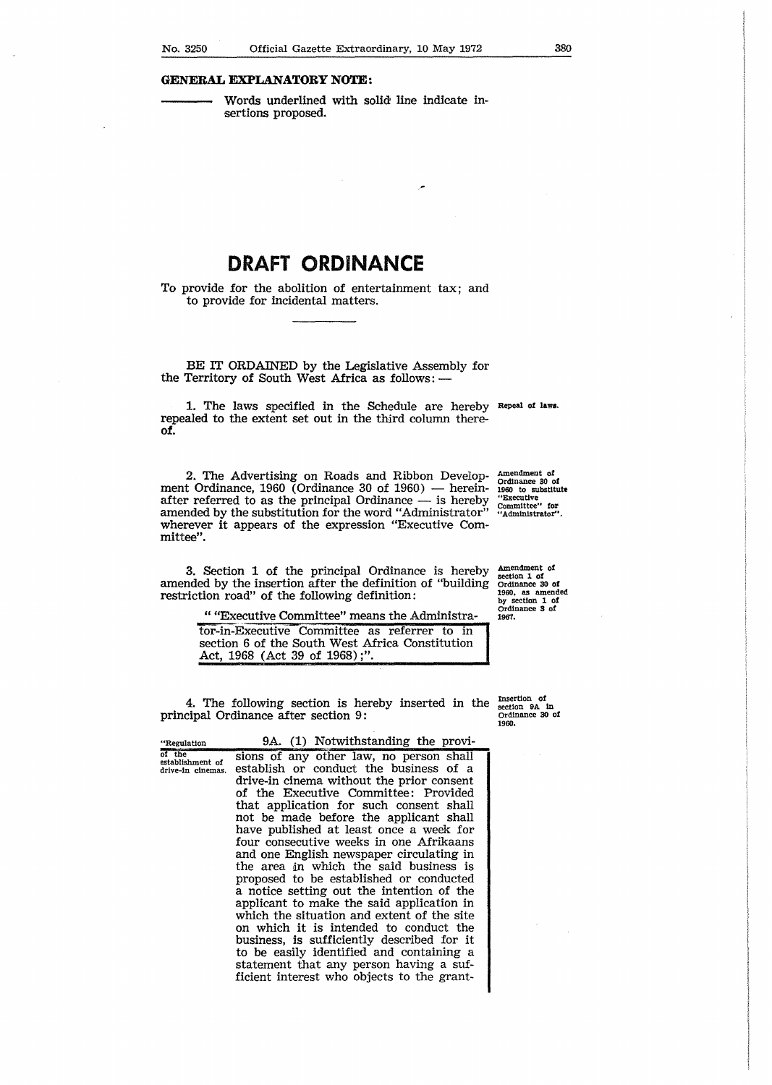Words underlined with solid line indicate insertions proposed.

## **DRAFT ORDINANCE**

To provide for the abolition of entertainment tax; and to provide for incidental matters.

BE IT ORDAINED by the Legislative Assembly for the Territory of South West Africa as follows: -

1. The laws specified in the Schedule are hereby Repeal of **lam.**  repealed to the extent set out in the third column there**of.** 

2. The Advertising on Roads and Ribbon Development Ordinance, 1960 (Ordinance 30 of 1960) - hereinafter referred to as the principal Ordinance - is hereby amended by the substitution for the word "Administrator" wherever it appears of the expression "Executive Committee".

Amendment **of**  1960 to substitute "Executive **Committee" for** "Administrator".

Amendment of section 1 of Ordinance 30 **of**  1960, as amended by section 1 of Ordinance 3 of 1967.

3. Section 1 of the principal Ordinance is hereby amended by the insertion after the definition of "building restriction road" of the following definition:

" "Executive Committee" means the Administra-

tor-in-Executive Committee as referrer to in section 6 of the South West Africa Constitution Act, 1968 (Act 39 of 1968);"

4. The following section is hereby inserted in the principal Ordinance after section 9:

"Regulation oT'the establishment of drive-In cinemas. 9A. (1) Notwithstanding the provisions of any other law, no person shall establish or conduct the business of a drive-in cinema without the prior consent of the Executive Committee: Provided that application for such consent shall not be made before the applicant shall have published at least once a week for four consecutive weeks in one Afrikaans and one English newspaper circulating in the area *in* whlch the said business is proposed to be established or conducted a notice setting out the intention of the applicant to make the said application in which the situation and extent of the site on which it is intended to conduct the business, is sufficiently described for it to be easily identified and containing a statement that any person having a sufficient interest who objects to the grantInsertion **of**  section 9A In Ordinance 30 of 1960,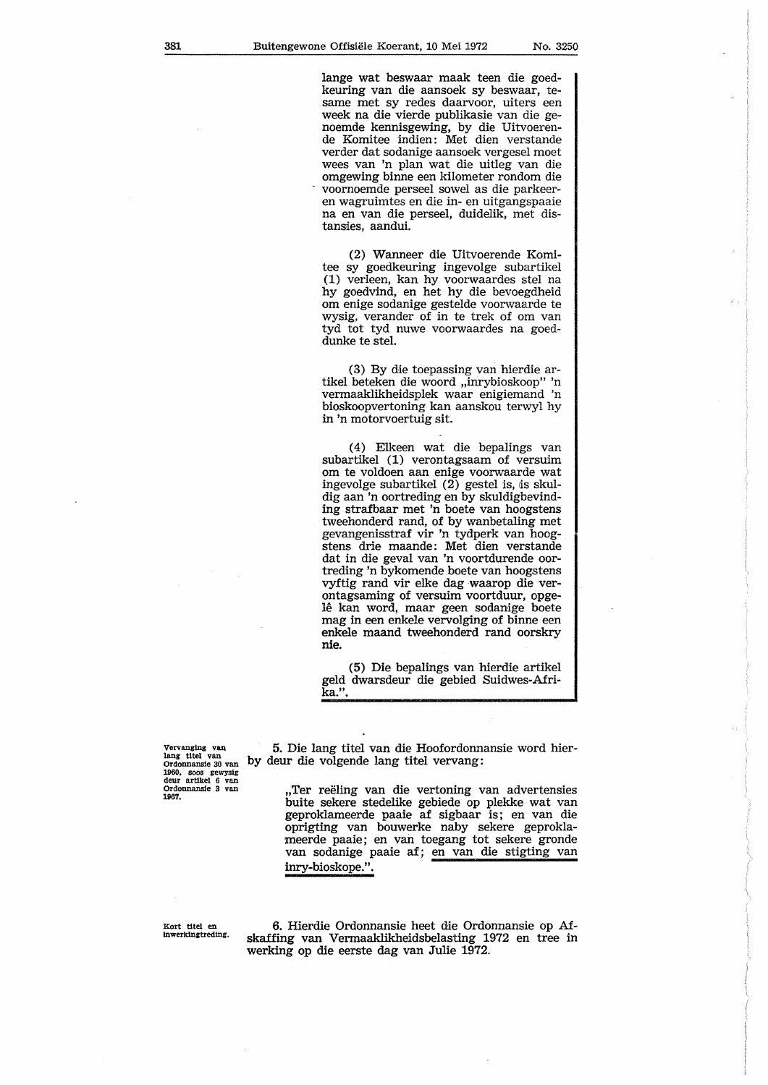lange wat beswaar maak teen die goedkeuring van die aansoek sy beswaar, tesame met sy redes daarvoor, uiters een week na die vierde publikasie van die genoemde kennisgewing, by die Uitvoerende Komitee indien: Met dien verstande verder dat sodanige aansoek vergesel moet wees van 'n plan wat die uitleg van die omgewing binne een kilometer rondom die voornoemde perseel sowel as die parkeeren wagruimtes en die in- en uitgangspaaie na en van die perseel, duidelik, met distansies, aandui.

(2) Wanneer die Uitvoerende Komitee sy goedkeuring ingevolge subartikel (1) verleen, kan hy voorwaardes stel na hy goedvind, en het by die bevoegdbeid om enige sodanige gestelde voorwaarde te wysig, verander of in te trek of om van tyd tot tyd nuwe voorwaardes na goeddunke te stel.

(3) By die toepassing van hierdie artikel beteken die woord ,,inrybioskoop" 'n vermaaklikheidsplek waar enigiemand 'n bioskoopvertoning kan aanskou terwyl hy in 'n motorvoertuig sit.

(4) Elkeen wat die bepalings van subartikel (1) verontagsaam of versuim om te voldoen aan enige voorwaarde wat ingevolge subartikel  $(2)$  gestel is, is skuldig aan 'n oortreding en by skuldigbevinding strafbaar met 'n boete van boogstens tweehonderd rand, of by wanbetaling met gevangenisstraf vir 'n tydperk van boogstens drie maande: Met dien verstande dat in die geval van 'n voortdurende oortreding 'n bykomende boete van hoogstens vyftig rand vir elke dag waarop die verontagsaming of versuim voortduur, opgelê kan word, maar geen sodanige boete mag in een enkele vervolging of binne een enkele maand tweehonderd rand oorskry nie.

(5) Die bepalings van hierdie artikel geld dwarsdeur die gebied Suidwes-Afri**ka.".** 

Vervanging van<br>lang titel van<br>Ordonnansie 30 van 1960. SOOS gewys!g deur artlkel 6 van Ordonnansle 3 van 1967.

5. Die lang titel van die Hoofordonnansie word hierby deur die volgende lang titel vervang:

> ,,Ter reeling van die vertoning van advertensies buite sekere stedelike gebiede op plekke wat van geproklameerde paaie af sigbaar is; en van die oprigting van bouwerke naby sekere geproklameerde paaie; en van toegang tot sekere gronde van sodanige paaie af; en van die stigting van inry-bioskope.".

Kort tltel en lnwerklngtredlng.

6. Hierdie Ordonnansie beet die Ordonnansie op Afskaffing van Vermaaklikheidsbelasting 1972 en tree in werking op die eerste dag van Julie 1972.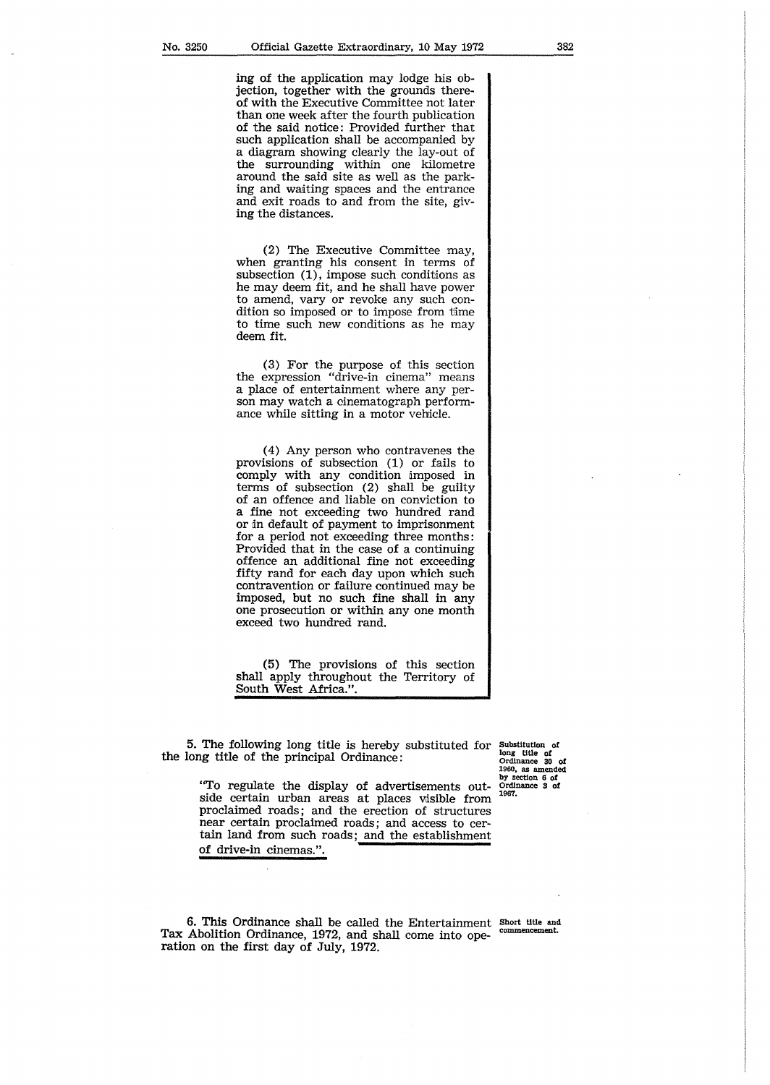ing of the application may lodge his objection, together with the grounds thereof with the Executive Committee not later than one week after the fourth publication of the said notice: Provided further that such application shall be accompanied by a diagram showing clearly the lay-out of the surrounding within one kilometre around the said site as well as the parking and waiting spaces and the entrance and exit roads to and from the site, giving the distances.

(2) The Executive Committee may, when granting his consent in terms of subsection (1), impose such conditions as he may deem fit, and he shall have power to amend, vary or revoke any such condition so imposed or to impose from time to time such new conditions as he may deem fit.

( 3) For the purpose of this section the expression "drive-in cinema" means a place of entertainment where any person may watch a cinematograph performance while sitting in a motor vehicle.

( 4) Any person who contravenes the provisions of subsection (1) or fails to comply with any condition imposed in terms of subsection (2) shall be guilty of an offence and liable on conviction to a fine not exceeding two hundred rand or in default of payment to imprisonment for a period not exceeding three months: Provided that in the case of a continuing offence an additional fine not exceeding fifty rand for each day upon which such contravention or failure continued may be imposed, but no such fine shall in any one prosecution or within any one month exceed two hundred rand.

(5) The provisions of this section shall apply throughout the Territory of South West Africa.".

5. The following long title is hereby substituted for the long title of the principal Ordinance:

Substitution of long title *ot* Ordinance 30 **of**  1960, as amended by section 6 **of** Ordinance **3 of** 1967.

"To regulate the display of advertisements outside certain urban areas at places visible from proclaimed roads; and the erection of structures near certain proclaimed roads; and access to certain land from such roads; and the establishment of drive-in cinemas.".

6. This Ordinance shall be called the Entertainment Short title and Abolition Ordinance 1979, and shall competition commencement. Tax Abolition Ordinance, 1972, and shall come into operation on the first day of July, 1972.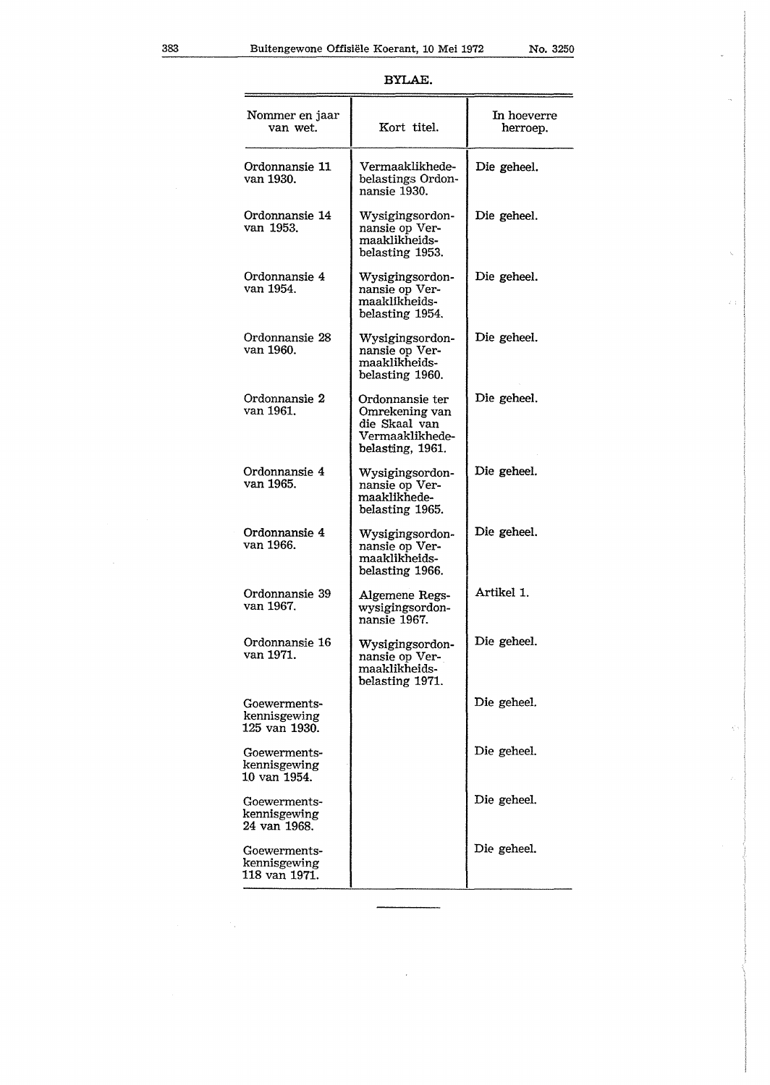| г |  |
|---|--|
|---|--|

| Nommer en jaar<br>van wet.                    | Kort titel.                                                                               | In hoeverre<br>herroep. |
|-----------------------------------------------|-------------------------------------------------------------------------------------------|-------------------------|
| Ordonnansie 11<br>van 1930.                   | Vermaaklikhede-<br>belastings Ordon-<br>nansie 1930.                                      | Die geheel.             |
| Ordonnansie 14<br>van 1953.                   | Wysigingsordon-<br>nansie op Ver-<br>maaklikheids-<br>belasting 1953.                     | Die geheel.             |
| Ordonnansie 4<br>van 1954.                    | Wysigingsordon-<br>nansie op Ver-<br>maaklikheids-<br>belasting 1954.                     | Die geheel.             |
| Ordonnansie 28<br>van 1960.                   | Wysigingsordon-<br>nansie op Ver-<br>maaklikheids-<br>belasting 1960.                     | Die geheel.             |
| Ordonnansie 2<br>van 1961.                    | Ordonnansie ter<br>Omrekening van<br>die Skaal van<br>Vermaaklikhede-<br>belasting, 1961. | Die geheel.             |
| Ordonnansie 4<br>van 1965.                    | Wysigingsordon-<br>nansie op Ver-<br>maaklikhede-<br>belasting 1965.                      | Die geheel.             |
| Ordonnansie 4<br>van 1966.                    | Wysigingsordon-<br>nansie op Ver-<br>maaklikheids-<br>belasting 1966.                     | Die geheel.             |
| Ordonnansie 39<br>van 1967.                   | Algemene Regs-<br>wysigingsordon-<br>nansie 1967.                                         | Artikel 1.              |
| Ordonnansie 16<br>van 1971.                   | Wysigingsordon-<br>nansie op Ver-<br>maaklikheids-<br>belasting 1971.                     | Die geheel.             |
| Goewerments-<br>kennisgewing<br>125 van 1930. |                                                                                           | Die geheel.             |
| Goewerments-<br>kennisgewing<br>10 van 1954.  |                                                                                           | Die geheel.             |
| Goewerments-<br>kennisgewing<br>24 van 1968.  |                                                                                           | Die geheel.             |
| Goewerments-<br>kennisgewing<br>118 van 1971. |                                                                                           | Die geheel.             |

J.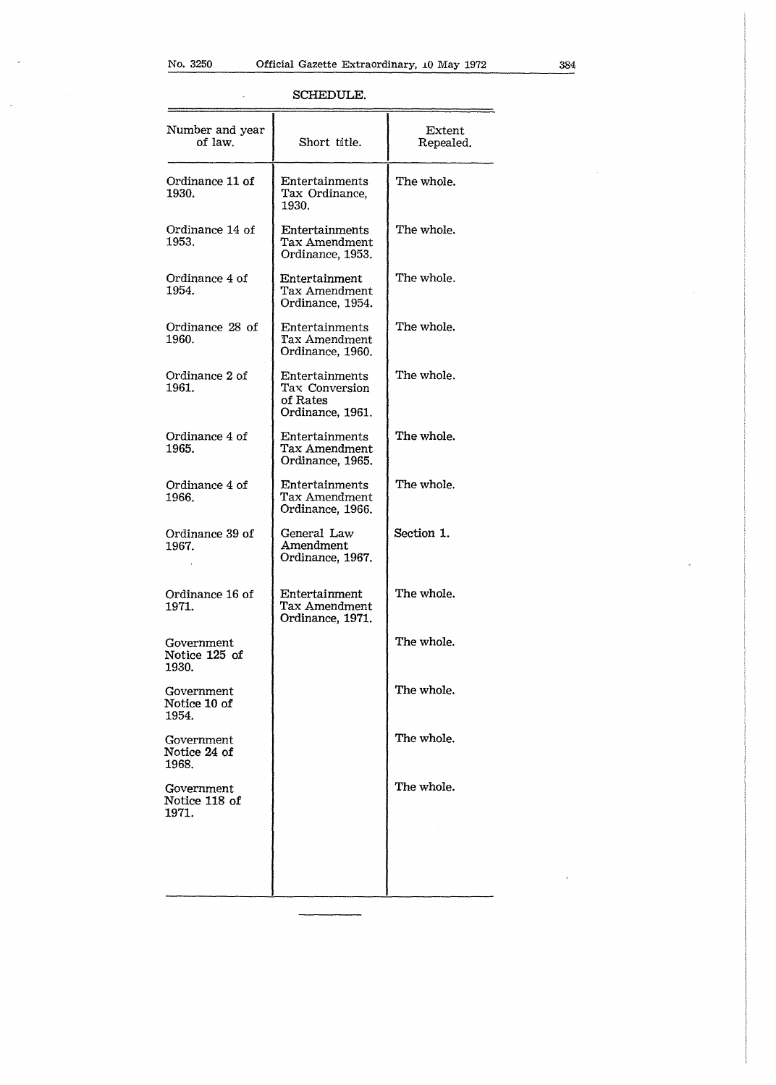l,

 $\mathcal{A}$ 

| SCHEDULE. |
|-----------|
|-----------|

| Number and year<br>of law.           | Short title.                                                     | Extent<br>Repealed. |
|--------------------------------------|------------------------------------------------------------------|---------------------|
| Ordinance 11 of<br>1930.             | Entertainments<br>Tax Ordinance.<br>1930.                        | The whole.          |
| Ordinance 14 of<br>1953.             | Entertainments<br>Tax Amendment<br>Ordinance, 1953.              | The whole.          |
| Ordinance 4 of<br>1954.              | Entertainment<br>Tax Amendment<br>Ordinance, 1954.               | The whole.          |
| Ordinance 28 of<br>1960.             | Entertainments<br>Tax Amendment<br>Ordinance, 1960.              | The whole.          |
| Ordinance 2 of<br>1961.              | Entertainments<br>Tax Conversion<br>of Rates<br>Ordinance, 1961. | The whole.          |
| Ordinance 4 of<br>1965.              | Entertainments<br>Tax Amendment<br>Ordinance, 1965.              | The whole.          |
| Ordinance 4 of<br>1966.              | Entertainments<br>Tax Amendment<br>Ordinance, 1966.              | The whole.          |
| Ordinance 39 of<br>1967.             | General Law<br>Amendment<br>Ordinance, 1967.                     | Section 1.          |
| Ordinance 16 of<br>1971.             | Entertainment<br>Tax Amendment<br>Ordinance, 1971.               | The whole.          |
| Government<br>Notice 125 of<br>1930. |                                                                  | The whole.          |
| Government<br>Notice 10 of<br>1954.  |                                                                  | The whole.          |
| Government<br>Notice 24 of<br>1968.  |                                                                  | The whole.          |
| Government<br>Notice 118 of<br>1971. |                                                                  | The whole.          |
|                                      |                                                                  |                     |

 $\bar{z}$